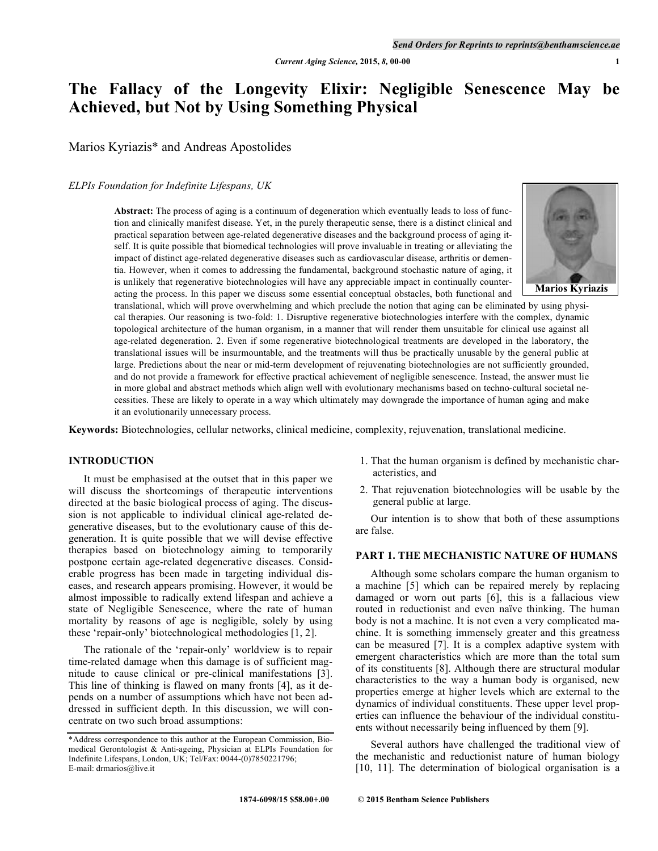# **The Fallacy of the Longevity Elixir: Negligible Senescence May be Achieved, but Not by Using Something Physical**

Marios Kyriazis\* and Andreas Apostolides

#### *ELPIs Foundation for Indefinite Lifespans, UK*

**Abstract:** The process of aging is a continuum of degeneration which eventually leads to loss of function and clinically manifest disease. Yet, in the purely therapeutic sense, there is a distinct clinical and practical separation between age-related degenerative diseases and the background process of aging itself. It is quite possible that biomedical technologies will prove invaluable in treating or alleviating the impact of distinct age-related degenerative diseases such as cardiovascular disease, arthritis or dementia. However, when it comes to addressing the fundamental, background stochastic nature of aging, it is unlikely that regenerative biotechnologies will have any appreciable impact in continually counteracting the process. In this paper we discuss some essential conceptual obstacles, both functional and



translational, which will prove overwhelming and which preclude the notion that aging can be eliminated by using physical therapies. Our reasoning is two-fold: 1. Disruptive regenerative biotechnologies interfere with the complex, dynamic topological architecture of the human organism, in a manner that will render them unsuitable for clinical use against all age-related degeneration. 2. Even if some regenerative biotechnological treatments are developed in the laboratory, the translational issues will be insurmountable, and the treatments will thus be practically unusable by the general public at large. Predictions about the near or mid-term development of rejuvenating biotechnologies are not sufficiently grounded, and do not provide a framework for effective practical achievement of negligible senescence. Instead, the answer must lie in more global and abstract methods which align well with evolutionary mechanisms based on techno-cultural societal necessities. These are likely to operate in a way which ultimately may downgrade the importance of human aging and make it an evolutionarily unnecessary process.

**Keywords:** Biotechnologies, cellular networks, clinical medicine, complexity, rejuvenation, translational medicine.

# **INTRODUCTION**

It must be emphasised at the outset that in this paper we will discuss the shortcomings of therapeutic interventions directed at the basic biological process of aging. The discussion is not applicable to individual clinical age-related degenerative diseases, but to the evolutionary cause of this degeneration. It is quite possible that we will devise effective therapies based on biotechnology aiming to temporarily postpone certain age-related degenerative diseases. Considerable progress has been made in targeting individual diseases, and research appears promising. However, it would be almost impossible to radically extend lifespan and achieve a state of Negligible Senescence, where the rate of human mortality by reasons of age is negligible, solely by using these 'repair-only' biotechnological methodologies [1, 2].

The rationale of the 'repair-only' worldview is to repair time-related damage when this damage is of sufficient magnitude to cause clinical or pre-clinical manifestations [3]. This line of thinking is flawed on many fronts [4], as it depends on a number of assumptions which have not been addressed in sufficient depth. In this discussion, we will concentrate on two such broad assumptions:

- 1. That the human organism is defined by mechanistic characteristics, and
- 2. That rejuvenation biotechnologies will be usable by the general public at large.

Our intention is to show that both of these assumptions are false.

# **PART 1. THE MECHANISTIC NATURE OF HUMANS**

Although some scholars compare the human organism to a machine [5] which can be repaired merely by replacing damaged or worn out parts [6], this is a fallacious view routed in reductionist and even naïve thinking. The human body is not a machine. It is not even a very complicated machine. It is something immensely greater and this greatness can be measured [7]. It is a complex adaptive system with emergent characteristics which are more than the total sum of its constituents [8]. Although there are structural modular characteristics to the way a human body is organised, new properties emerge at higher levels which are external to the dynamics of individual constituents. These upper level properties can influence the behaviour of the individual constituents without necessarily being influenced by them [9].

Several authors have challenged the traditional view of the mechanistic and reductionist nature of human biology [10, 11]. The determination of biological organisation is a

<sup>\*</sup>Address correspondence to this author at the European Commission, Biomedical Gerontologist & Anti-ageing, Physician at ELPIs Foundation for Indefinite Lifespans, London, UK; Tel/Fax: 0044-(0)7850221796; E-mail: drmarios@live.it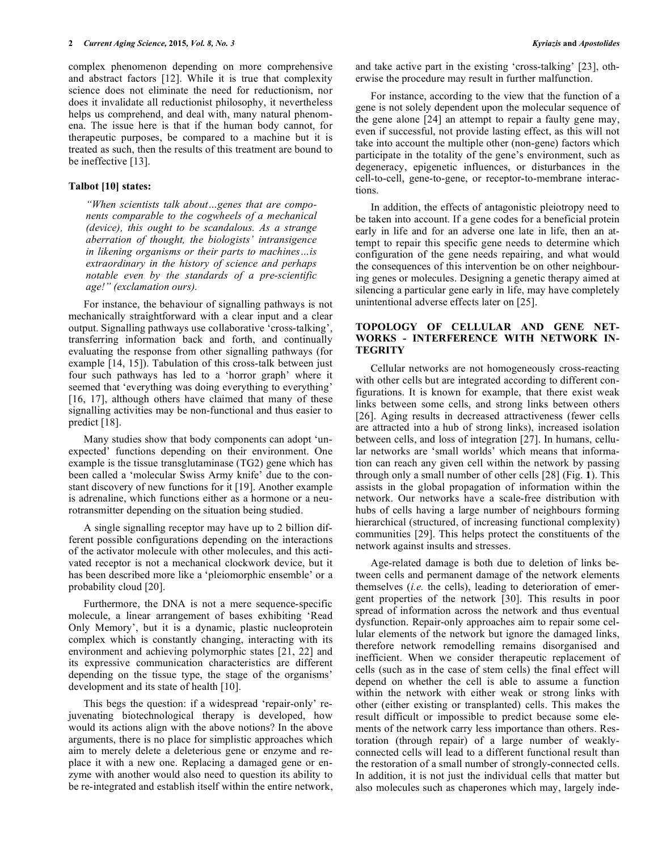complex phenomenon depending on more comprehensive and abstract factors [12]. While it is true that complexity science does not eliminate the need for reductionism, nor does it invalidate all reductionist philosophy, it nevertheless helps us comprehend, and deal with, many natural phenomena. The issue here is that if the human body cannot, for therapeutic purposes, be compared to a machine but it is treated as such, then the results of this treatment are bound to be ineffective [13].

#### **Talbot [10] states:**

*"When scientists talk about…genes that are components comparable to the cogwheels of a mechanical (device), this ought to be scandalous. As a strange aberration of thought, the biologists' intransigence in likening organisms or their parts to machines…is extraordinary in the history of science and perhaps notable even by the standards of a pre-scientific age!" (exclamation ours).*

For instance, the behaviour of signalling pathways is not mechanically straightforward with a clear input and a clear output. Signalling pathways use collaborative 'cross-talking', transferring information back and forth, and continually evaluating the response from other signalling pathways (for example [14, 15]). Tabulation of this cross-talk between just four such pathways has led to a 'horror graph' where it seemed that 'everything was doing everything to everything' [16, 17], although others have claimed that many of these signalling activities may be non-functional and thus easier to predict [18].

Many studies show that body components can adopt 'unexpected' functions depending on their environment. One example is the tissue transglutaminase (TG2) gene which has been called a 'molecular Swiss Army knife' due to the constant discovery of new functions for it [19]. Another example is adrenaline, which functions either as a hormone or a neurotransmitter depending on the situation being studied.

A single signalling receptor may have up to 2 billion different possible configurations depending on the interactions of the activator molecule with other molecules, and this activated receptor is not a mechanical clockwork device, but it has been described more like a 'pleiomorphic ensemble' or a probability cloud [20].

Furthermore, the DNA is not a mere sequence-specific molecule, a linear arrangement of bases exhibiting 'Read Only Memory', but it is a dynamic, plastic nucleoprotein complex which is constantly changing, interacting with its environment and achieving polymorphic states [21, 22] and its expressive communication characteristics are different depending on the tissue type, the stage of the organisms' development and its state of health [10].

This begs the question: if a widespread 'repair-only' rejuvenating biotechnological therapy is developed, how would its actions align with the above notions? In the above arguments, there is no place for simplistic approaches which aim to merely delete a deleterious gene or enzyme and replace it with a new one. Replacing a damaged gene or enzyme with another would also need to question its ability to be re-integrated and establish itself within the entire network,

and take active part in the existing 'cross-talking' [23], otherwise the procedure may result in further malfunction.

For instance, according to the view that the function of a gene is not solely dependent upon the molecular sequence of the gene alone [24] an attempt to repair a faulty gene may, even if successful, not provide lasting effect, as this will not take into account the multiple other (non-gene) factors which participate in the totality of the gene's environment, such as degeneracy, epigenetic influences, or disturbances in the cell-to-cell, gene-to-gene, or receptor-to-membrane interactions.

In addition, the effects of antagonistic pleiotropy need to be taken into account. If a gene codes for a beneficial protein early in life and for an adverse one late in life, then an attempt to repair this specific gene needs to determine which configuration of the gene needs repairing, and what would the consequences of this intervention be on other neighbouring genes or molecules. Designing a genetic therapy aimed at silencing a particular gene early in life, may have completely unintentional adverse effects later on [25].

# **TOPOLOGY OF CELLULAR AND GENE NET-WORKS - INTERFERENCE WITH NETWORK IN-TEGRITY**

Cellular networks are not homogeneously cross-reacting with other cells but are integrated according to different configurations. It is known for example, that there exist weak links between some cells, and strong links between others [26]. Aging results in decreased attractiveness (fewer cells are attracted into a hub of strong links), increased isolation between cells, and loss of integration [27]. In humans, cellular networks are 'small worlds' which means that information can reach any given cell within the network by passing through only a small number of other cells [28] (Fig. **1**). This assists in the global propagation of information within the network. Our networks have a scale-free distribution with hubs of cells having a large number of neighbours forming hierarchical (structured, of increasing functional complexity) communities [29]. This helps protect the constituents of the network against insults and stresses.

Age-related damage is both due to deletion of links between cells and permanent damage of the network elements themselves (*i.e.* the cells), leading to deterioration of emergent properties of the network [30]. This results in poor spread of information across the network and thus eventual dysfunction. Repair-only approaches aim to repair some cellular elements of the network but ignore the damaged links, therefore network remodelling remains disorganised and inefficient. When we consider therapeutic replacement of cells (such as in the case of stem cells) the final effect will depend on whether the cell is able to assume a function within the network with either weak or strong links with other (either existing or transplanted) cells. This makes the result difficult or impossible to predict because some elements of the network carry less importance than others. Restoration (through repair) of a large number of weaklyconnected cells will lead to a different functional result than the restoration of a small number of strongly-connected cells. In addition, it is not just the individual cells that matter but also molecules such as chaperones which may, largely inde-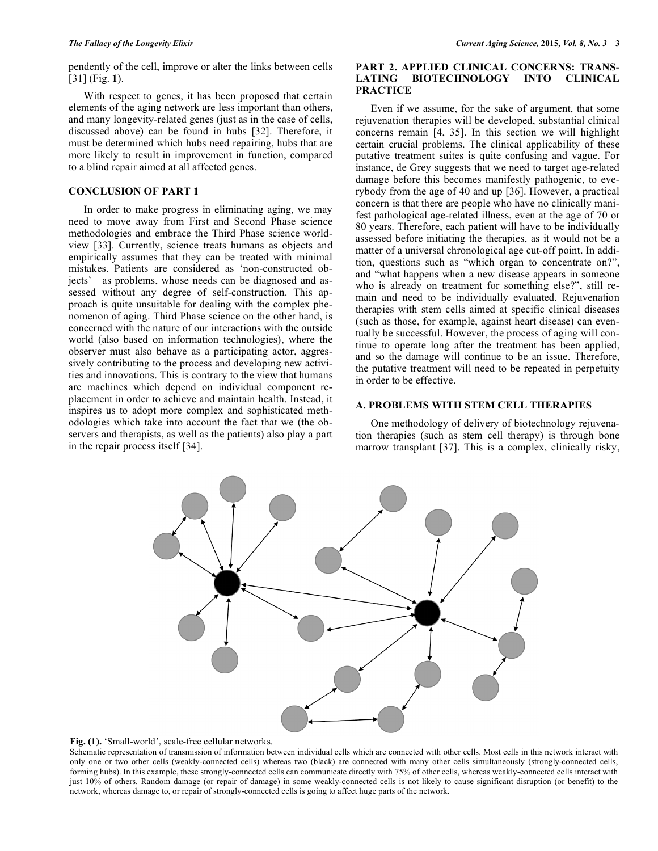pendently of the cell, improve or alter the links between cells [31] (Fig. **1**).

With respect to genes, it has been proposed that certain elements of the aging network are less important than others, and many longevity-related genes (just as in the case of cells, discussed above) can be found in hubs [32]. Therefore, it must be determined which hubs need repairing, hubs that are more likely to result in improvement in function, compared to a blind repair aimed at all affected genes.

# **CONCLUSION OF PART 1**

In order to make progress in eliminating aging, we may need to move away from First and Second Phase science methodologies and embrace the Third Phase science worldview [33]. Currently, science treats humans as objects and empirically assumes that they can be treated with minimal mistakes. Patients are considered as 'non-constructed objects'—as problems, whose needs can be diagnosed and assessed without any degree of self-construction. This approach is quite unsuitable for dealing with the complex phenomenon of aging. Third Phase science on the other hand, is concerned with the nature of our interactions with the outside world (also based on information technologies), where the observer must also behave as a participating actor, aggressively contributing to the process and developing new activities and innovations. This is contrary to the view that humans are machines which depend on individual component replacement in order to achieve and maintain health. Instead, it inspires us to adopt more complex and sophisticated methodologies which take into account the fact that we (the observers and therapists, as well as the patients) also play a part in the repair process itself [34].

# **PART 2. APPLIED CLINICAL CONCERNS: TRANS-LATING BIOTECHNOLOGY INTO CLINICAL PRACTICE**

Even if we assume, for the sake of argument, that some rejuvenation therapies will be developed, substantial clinical concerns remain [4, 35]. In this section we will highlight certain crucial problems. The clinical applicability of these putative treatment suites is quite confusing and vague. For instance, de Grey suggests that we need to target age-related damage before this becomes manifestly pathogenic, to everybody from the age of 40 and up [36]. However, a practical concern is that there are people who have no clinically manifest pathological age-related illness, even at the age of 70 or 80 years. Therefore, each patient will have to be individually assessed before initiating the therapies, as it would not be a matter of a universal chronological age cut-off point. In addition, questions such as "which organ to concentrate on?", and "what happens when a new disease appears in someone who is already on treatment for something else?", still remain and need to be individually evaluated. Rejuvenation therapies with stem cells aimed at specific clinical diseases (such as those, for example, against heart disease) can eventually be successful. However, the process of aging will continue to operate long after the treatment has been applied, and so the damage will continue to be an issue. Therefore, the putative treatment will need to be repeated in perpetuity in order to be effective.

# **A. PROBLEMS WITH STEM CELL THERAPIES**

One methodology of delivery of biotechnology rejuvenation therapies (such as stem cell therapy) is through bone marrow transplant [37]. This is a complex, clinically risky,



**Fig. (1).** 'Small-world', scale-free cellular networks.

Schematic representation of transmission of information between individual cells which are connected with other cells. Most cells in this network interact with only one or two other cells (weakly-connected cells) whereas two (black) are connected with many other cells simultaneously (strongly-connected cells, forming hubs). In this example, these strongly-connected cells can communicate directly with 75% of other cells, whereas weakly-connected cells interact with just 10% of others. Random damage (or repair of damage) in some weakly-connected cells is not likely to cause significant disruption (or benefit) to the network, whereas damage to, or repair of strongly-connected cells is going to affect huge parts of the network.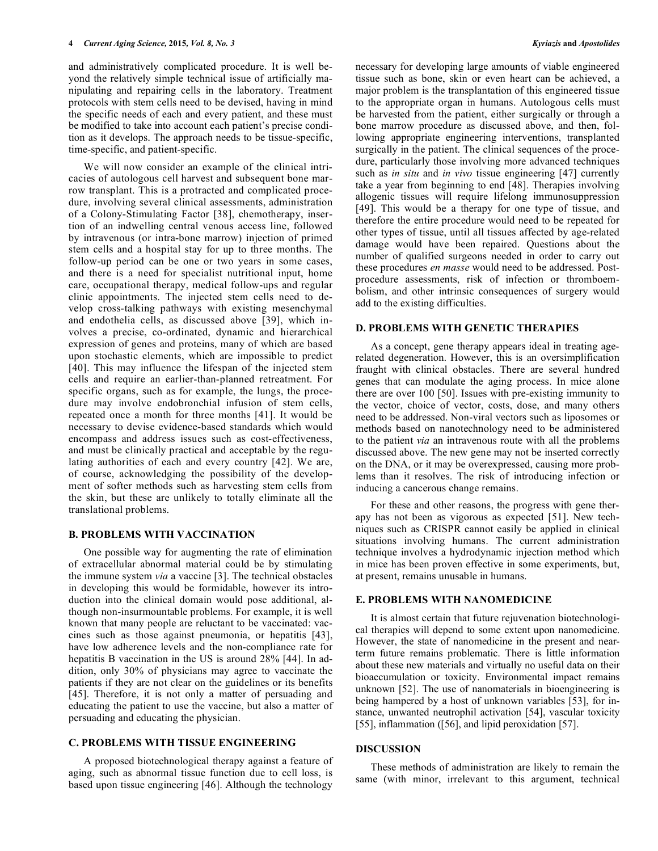and administratively complicated procedure. It is well beyond the relatively simple technical issue of artificially manipulating and repairing cells in the laboratory. Treatment protocols with stem cells need to be devised, having in mind the specific needs of each and every patient, and these must be modified to take into account each patient's precise condition as it develops. The approach needs to be tissue-specific, time-specific, and patient-specific.

We will now consider an example of the clinical intricacies of autologous cell harvest and subsequent bone marrow transplant. This is a protracted and complicated procedure, involving several clinical assessments, administration of a Colony-Stimulating Factor [38], chemotherapy, insertion of an indwelling central venous access line, followed by intravenous (or intra-bone marrow) injection of primed stem cells and a hospital stay for up to three months. The follow-up period can be one or two years in some cases, and there is a need for specialist nutritional input, home care, occupational therapy, medical follow-ups and regular clinic appointments. The injected stem cells need to develop cross-talking pathways with existing mesenchymal and endothelia cells, as discussed above [39], which involves a precise, co-ordinated, dynamic and hierarchical expression of genes and proteins, many of which are based upon stochastic elements, which are impossible to predict [40]. This may influence the lifespan of the injected stem cells and require an earlier-than-planned retreatment. For specific organs, such as for example, the lungs, the procedure may involve endobronchial infusion of stem cells, repeated once a month for three months [41]. It would be necessary to devise evidence-based standards which would encompass and address issues such as cost-effectiveness, and must be clinically practical and acceptable by the regulating authorities of each and every country [42]. We are, of course, acknowledging the possibility of the development of softer methods such as harvesting stem cells from the skin, but these are unlikely to totally eliminate all the translational problems.

# **B. PROBLEMS WITH VACCINATION**

One possible way for augmenting the rate of elimination of extracellular abnormal material could be by stimulating the immune system *via* a vaccine [3]. The technical obstacles in developing this would be formidable, however its introduction into the clinical domain would pose additional, although non-insurmountable problems. For example, it is well known that many people are reluctant to be vaccinated: vaccines such as those against pneumonia, or hepatitis [43], have low adherence levels and the non-compliance rate for hepatitis B vaccination in the US is around 28% [44]. In addition, only 30% of physicians may agree to vaccinate the patients if they are not clear on the guidelines or its benefits [45]. Therefore, it is not only a matter of persuading and educating the patient to use the vaccine, but also a matter of persuading and educating the physician.

### **C. PROBLEMS WITH TISSUE ENGINEERING**

A proposed biotechnological therapy against a feature of aging, such as abnormal tissue function due to cell loss, is based upon tissue engineering [46]. Although the technology

necessary for developing large amounts of viable engineered tissue such as bone, skin or even heart can be achieved, a major problem is the transplantation of this engineered tissue to the appropriate organ in humans. Autologous cells must be harvested from the patient, either surgically or through a bone marrow procedure as discussed above, and then, following appropriate engineering interventions, transplanted surgically in the patient. The clinical sequences of the procedure, particularly those involving more advanced techniques such as *in situ* and *in vivo* tissue engineering [47] currently take a year from beginning to end [48]. Therapies involving allogenic tissues will require lifelong immunosuppression [49]. This would be a therapy for one type of tissue, and therefore the entire procedure would need to be repeated for other types of tissue, until all tissues affected by age-related damage would have been repaired. Questions about the number of qualified surgeons needed in order to carry out these procedures *en masse* would need to be addressed. Postprocedure assessments, risk of infection or thromboembolism, and other intrinsic consequences of surgery would add to the existing difficulties.

#### **D. PROBLEMS WITH GENETIC THERAPIES**

As a concept, gene therapy appears ideal in treating agerelated degeneration. However, this is an oversimplification fraught with clinical obstacles. There are several hundred genes that can modulate the aging process. In mice alone there are over 100 [50]. Issues with pre-existing immunity to the vector, choice of vector, costs, dose, and many others need to be addressed. Non-viral vectors such as liposomes or methods based on nanotechnology need to be administered to the patient *via* an intravenous route with all the problems discussed above. The new gene may not be inserted correctly on the DNA, or it may be overexpressed, causing more problems than it resolves. The risk of introducing infection or inducing a cancerous change remains.

For these and other reasons, the progress with gene therapy has not been as vigorous as expected [51]. New techniques such as CRISPR cannot easily be applied in clinical situations involving humans. The current administration technique involves a hydrodynamic injection method which in mice has been proven effective in some experiments, but, at present, remains unusable in humans.

#### **E. PROBLEMS WITH NANOMEDICINE**

It is almost certain that future rejuvenation biotechnological therapies will depend to some extent upon nanomedicine. However, the state of nanomedicine in the present and nearterm future remains problematic. There is little information about these new materials and virtually no useful data on their bioaccumulation or toxicity. Environmental impact remains unknown [52]. The use of nanomaterials in bioengineering is being hampered by a host of unknown variables [53], for instance, unwanted neutrophil activation [54], vascular toxicity [55], inflammation ([56], and lipid peroxidation [57].

#### **DISCUSSION**

These methods of administration are likely to remain the same (with minor, irrelevant to this argument, technical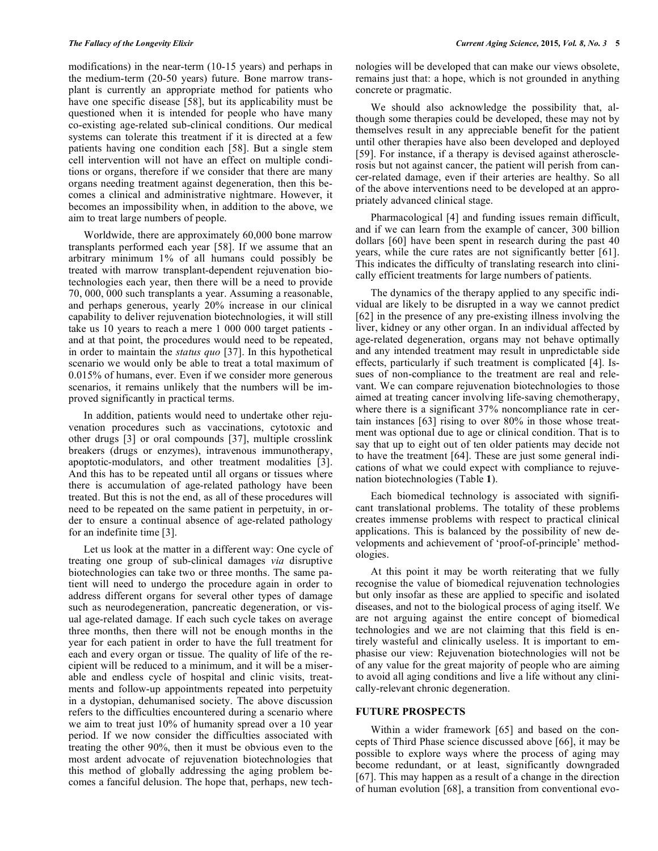modifications) in the near-term (10-15 years) and perhaps in the medium-term (20-50 years) future. Bone marrow transplant is currently an appropriate method for patients who have one specific disease [58], but its applicability must be questioned when it is intended for people who have many co-existing age-related sub-clinical conditions. Our medical systems can tolerate this treatment if it is directed at a few patients having one condition each [58]. But a single stem cell intervention will not have an effect on multiple conditions or organs, therefore if we consider that there are many organs needing treatment against degeneration, then this becomes a clinical and administrative nightmare. However, it becomes an impossibility when, in addition to the above, we aim to treat large numbers of people.

Worldwide, there are approximately 60,000 bone marrow transplants performed each year [58]. If we assume that an arbitrary minimum 1% of all humans could possibly be treated with marrow transplant-dependent rejuvenation biotechnologies each year, then there will be a need to provide 70, 000, 000 such transplants a year. Assuming a reasonable, and perhaps generous, yearly 20% increase in our clinical capability to deliver rejuvenation biotechnologies, it will still take us 10 years to reach a mere 1 000 000 target patients and at that point, the procedures would need to be repeated, in order to maintain the *status quo* [37]. In this hypothetical scenario we would only be able to treat a total maximum of 0.015% of humans, ever. Even if we consider more generous scenarios, it remains unlikely that the numbers will be improved significantly in practical terms.

In addition, patients would need to undertake other rejuvenation procedures such as vaccinations, cytotoxic and other drugs [3] or oral compounds [37], multiple crosslink breakers (drugs or enzymes), intravenous immunotherapy, apoptotic-modulators, and other treatment modalities [3]. And this has to be repeated until all organs or tissues where there is accumulation of age-related pathology have been treated. But this is not the end, as all of these procedures will need to be repeated on the same patient in perpetuity, in order to ensure a continual absence of age-related pathology for an indefinite time [3].

Let us look at the matter in a different way: One cycle of treating one group of sub-clinical damages *via* disruptive biotechnologies can take two or three months. The same patient will need to undergo the procedure again in order to address different organs for several other types of damage such as neurodegeneration, pancreatic degeneration, or visual age-related damage. If each such cycle takes on average three months, then there will not be enough months in the year for each patient in order to have the full treatment for each and every organ or tissue. The quality of life of the recipient will be reduced to a minimum, and it will be a miserable and endless cycle of hospital and clinic visits, treatments and follow-up appointments repeated into perpetuity in a dystopian, dehumanised society. The above discussion refers to the difficulties encountered during a scenario where we aim to treat just 10% of humanity spread over a 10 year period. If we now consider the difficulties associated with treating the other 90%, then it must be obvious even to the most ardent advocate of rejuvenation biotechnologies that this method of globally addressing the aging problem becomes a fanciful delusion. The hope that, perhaps, new technologies will be developed that can make our views obsolete, remains just that: a hope, which is not grounded in anything concrete or pragmatic.

We should also acknowledge the possibility that, although some therapies could be developed, these may not by themselves result in any appreciable benefit for the patient until other therapies have also been developed and deployed [59]. For instance, if a therapy is devised against atherosclerosis but not against cancer, the patient will perish from cancer-related damage, even if their arteries are healthy. So all of the above interventions need to be developed at an appropriately advanced clinical stage.

Pharmacological [4] and funding issues remain difficult, and if we can learn from the example of cancer, 300 billion dollars [60] have been spent in research during the past 40 years, while the cure rates are not significantly better [61]. This indicates the difficulty of translating research into clinically efficient treatments for large numbers of patients.

The dynamics of the therapy applied to any specific individual are likely to be disrupted in a way we cannot predict [62] in the presence of any pre-existing illness involving the liver, kidney or any other organ. In an individual affected by age-related degeneration, organs may not behave optimally and any intended treatment may result in unpredictable side effects, particularly if such treatment is complicated [4]. Issues of non-compliance to the treatment are real and relevant. We can compare rejuvenation biotechnologies to those aimed at treating cancer involving life-saving chemotherapy, where there is a significant 37% noncompliance rate in certain instances [63] rising to over 80% in those whose treatment was optional due to age or clinical condition. That is to say that up to eight out of ten older patients may decide not to have the treatment [64]. These are just some general indications of what we could expect with compliance to rejuvenation biotechnologies (Table **1**).

Each biomedical technology is associated with significant translational problems. The totality of these problems creates immense problems with respect to practical clinical applications. This is balanced by the possibility of new developments and achievement of 'proof-of-principle' methodologies.

At this point it may be worth reiterating that we fully recognise the value of biomedical rejuvenation technologies but only insofar as these are applied to specific and isolated diseases, and not to the biological process of aging itself. We are not arguing against the entire concept of biomedical technologies and we are not claiming that this field is entirely wasteful and clinically useless. It is important to emphasise our view: Rejuvenation biotechnologies will not be of any value for the great majority of people who are aiming to avoid all aging conditions and live a life without any clinically-relevant chronic degeneration.

#### **FUTURE PROSPECTS**

Within a wider framework [65] and based on the concepts of Third Phase science discussed above [66], it may be possible to explore ways where the process of aging may become redundant, or at least, significantly downgraded [67]. This may happen as a result of a change in the direction of human evolution [68], a transition from conventional evo-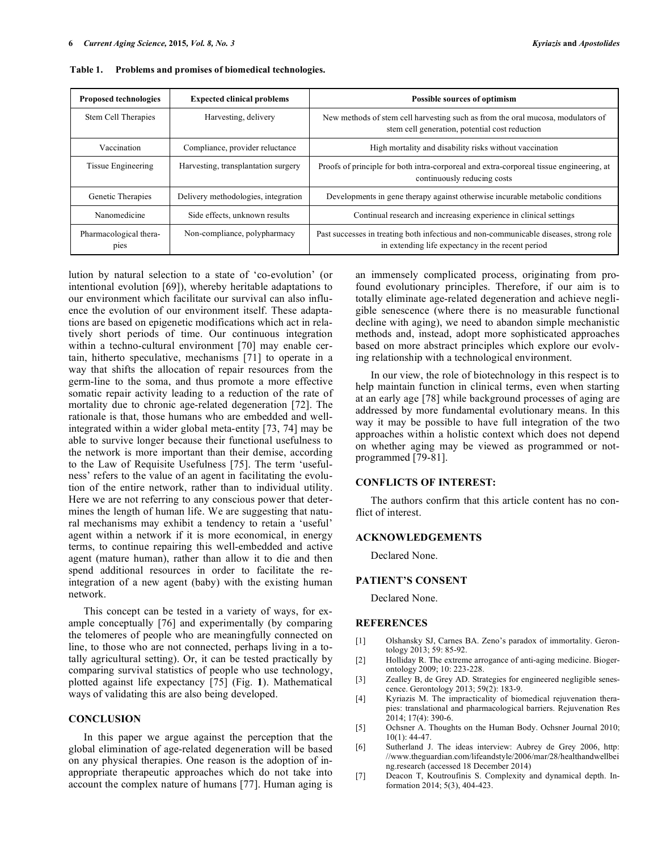| <b>Proposed technologies</b>   | <b>Expected clinical problems</b>   | Possible sources of optimism                                                                                                               |
|--------------------------------|-------------------------------------|--------------------------------------------------------------------------------------------------------------------------------------------|
| Stem Cell Therapies            | Harvesting, delivery                | New methods of stem cell harvesting such as from the oral mucosa, modulators of<br>stem cell generation, potential cost reduction          |
| Vaccination                    | Compliance, provider reluctance     | High mortality and disability risks without vaccination                                                                                    |
| Tissue Engineering             | Harvesting, transplantation surgery | Proofs of principle for both intra-corporeal and extra-corporeal tissue engineering, at<br>continuously reducing costs                     |
| Genetic Therapies              | Delivery methodologies, integration | Developments in gene therapy against otherwise incurable metabolic conditions                                                              |
| Nanomedicine                   | Side effects, unknown results       | Continual research and increasing experience in clinical settings                                                                          |
| Pharmacological thera-<br>pies | Non-compliance, polypharmacy        | Past successes in treating both infectious and non-communicable diseases, strong role<br>in extending life expectancy in the recent period |

**Table 1. Problems and promises of biomedical technologies.**

lution by natural selection to a state of 'co-evolution' (or intentional evolution [69]), whereby heritable adaptations to our environment which facilitate our survival can also influence the evolution of our environment itself. These adaptations are based on epigenetic modifications which act in relatively short periods of time. Our continuous integration within a techno-cultural environment [70] may enable certain, hitherto speculative, mechanisms [71] to operate in a way that shifts the allocation of repair resources from the germ-line to the soma, and thus promote a more effective somatic repair activity leading to a reduction of the rate of mortality due to chronic age-related degeneration [72]. The rationale is that, those humans who are embedded and wellintegrated within a wider global meta-entity [73, 74] may be able to survive longer because their functional usefulness to the network is more important than their demise, according to the Law of Requisite Usefulness [75]. The term 'usefulness' refers to the value of an agent in facilitating the evolution of the entire network, rather than to individual utility. Here we are not referring to any conscious power that determines the length of human life. We are suggesting that natural mechanisms may exhibit a tendency to retain a 'useful' agent within a network if it is more economical, in energy terms, to continue repairing this well-embedded and active agent (mature human), rather than allow it to die and then spend additional resources in order to facilitate the reintegration of a new agent (baby) with the existing human network.

This concept can be tested in a variety of ways, for example conceptually [76] and experimentally (by comparing the telomeres of people who are meaningfully connected on line, to those who are not connected, perhaps living in a totally agricultural setting). Or, it can be tested practically by comparing survival statistics of people who use technology, plotted against life expectancy [75] (Fig. **1**). Mathematical ways of validating this are also being developed.

# **CONCLUSION**

In this paper we argue against the perception that the global elimination of age-related degeneration will be based on any physical therapies. One reason is the adoption of inappropriate therapeutic approaches which do not take into account the complex nature of humans [77]. Human aging is an immensely complicated process, originating from profound evolutionary principles. Therefore, if our aim is to totally eliminate age-related degeneration and achieve negligible senescence (where there is no measurable functional decline with aging), we need to abandon simple mechanistic methods and, instead, adopt more sophisticated approaches based on more abstract principles which explore our evolving relationship with a technological environment.

In our view, the role of biotechnology in this respect is to help maintain function in clinical terms, even when starting at an early age [78] while background processes of aging are addressed by more fundamental evolutionary means. In this way it may be possible to have full integration of the two approaches within a holistic context which does not depend on whether aging may be viewed as programmed or notprogrammed [79-81].

#### **CONFLICTS OF INTEREST:**

The authors confirm that this article content has no conflict of interest.

# **ACKNOWLEDGEMENTS**

Declared None.

#### **PATIENT'S CONSENT**

Declared None.

#### **REFERENCES**

- [1] Olshansky SJ, Carnes BA. Zeno's paradox of immortality. Gerontology 2013; 59: 85-92.
- [2] Holliday R. The extreme arrogance of anti-aging medicine. Biogerontology 2009; 10: 223-228.
- [3] Zealley B, de Grey AD. Strategies for engineered negligible senescence. Gerontology 2013; 59(2): 183-9.
- [4] Kyriazis M. The impracticality of biomedical rejuvenation therapies: translational and pharmacological barriers. Rejuvenation Res 2014; 17(4): 390-6.
- [5] Ochsner A. Thoughts on the Human Body. Ochsner Journal 2010;  $10(1)$ : 44-47.
- [6] Sutherland J. The ideas interview: Aubrey de Grey 2006, http: //www.theguardian.com/lifeandstyle/2006/mar/28/healthandwellbei ng.research (accessed 18 December 2014)
- [7] Deacon T, Koutroufinis S. Complexity and dynamical depth. Information 2014; 5(3), 404-423.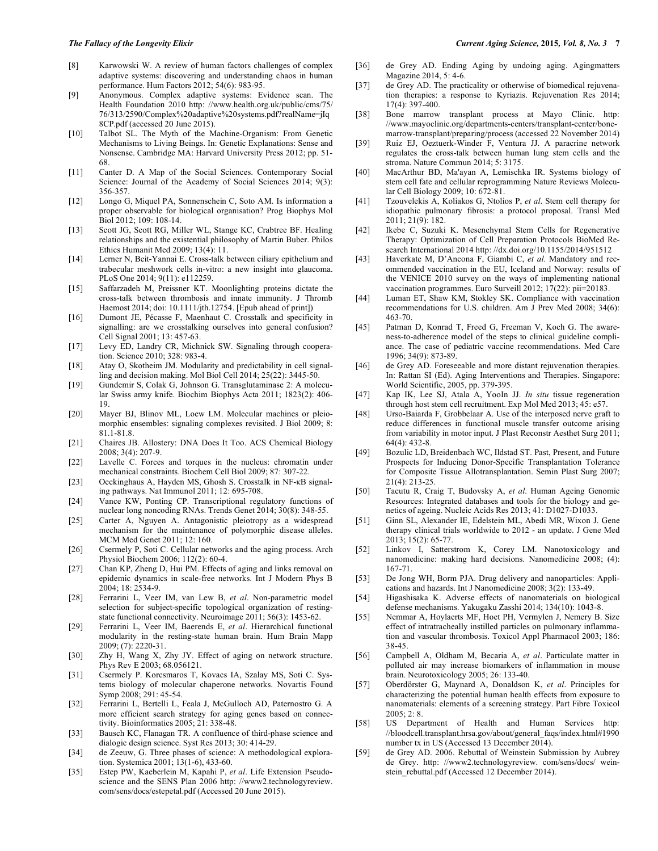- [8] Karwowski W. A review of human factors challenges of complex adaptive systems: discovering and understanding chaos in human performance. Hum Factors 2012; 54(6): 983-95.
- [9] Anonymous. Complex adaptive systems: Evidence scan. The Health Foundation 2010 http: //www.health.org.uk/public/cms/75/ 76/313/2590/Complex%20adaptive%20systems.pdf?realName=jIq 8CP.pdf (accessed 20 June 2015).
- [10] Talbot SL. The Myth of the Machine-Organism: From Genetic Mechanisms to Living Beings. In: Genetic Explanations: Sense and Nonsense. Cambridge MA: Harvard University Press 2012; pp. 51- 68.
- [11] Canter D. A Map of the Social Sciences. Contemporary Social Science: Journal of the Academy of Social Sciences 2014; 9(3): 356-357.
- [12] Longo G, Miquel PA, Sonnenschein C, Soto AM. Is information a proper observable for biological organisation? Prog Biophys Mol Biol 2012; 109: 108-14.
- [13] Scott JG, Scott RG, Miller WL, Stange KC, Crabtree BF. Healing relationships and the existential philosophy of Martin Buber. Philos Ethics Humanit Med 2009; 13(4): 11.
- [14] Lerner N, Beit-Yannai E. Cross-talk between ciliary epithelium and trabecular meshwork cells in-vitro: a new insight into glaucoma. PLoS One 2014; 9(11): e112259.
- [15] Saffarzadeh M, Preissner KT. Moonlighting proteins dictate the cross-talk between thrombosis and innate immunity. J Thromb Haemost 2014; doi: 10.1111/jth.12754. [Epub ahead of print])
- [16] Dumont JE, Pécasse F, Maenhaut C. Crosstalk and specificity in signalling: are we crosstalking ourselves into general confusion? Cell Signal 2001; 13: 457-63.
- [17] Levy ED, Landry CR, Michnick SW. Signaling through cooperation. Science 2010; 328: 983-4.
- [18] Atay O, Skotheim JM. Modularity and predictability in cell signalling and decision making. Mol Biol Cell 2014; 25(22): 3445-50.
- [19] Gundemir S, Colak G, Johnson G. Transglutaminase 2: A molecular Swiss army knife. Biochim Biophys Acta 2011; 1823(2): 406- 19.
- [20] Mayer BJ, Blinov ML, Loew LM. Molecular machines or pleiomorphic ensembles: signaling complexes revisited. J Biol 2009; 8: 81.1-81.8.
- [21] Chaires JB. Allostery: DNA Does It Too. ACS Chemical Biology 2008; 3(4): 207-9.
- [22] Lavelle C. Forces and torques in the nucleus: chromatin under mechanical constraints. Biochem Cell Biol 2009; 87: 307-22.
- [23] Oeckinghaus A, Hayden MS, Ghosh S. Crosstalk in NF-κB signaling pathways. Nat Immunol 2011; 12: 695-708.
- [24] Vance KW, Ponting CP. Transcriptional regulatory functions of nuclear long noncoding RNAs. Trends Genet 2014; 30(8): 348-55.
- [25] Carter A, Nguyen A. Antagonistic pleiotropy as a widespread mechanism for the maintenance of polymorphic disease alleles. MCM Med Genet 2011; 12: 160.
- [26] Csermely P, Soti C. Cellular networks and the aging process. Arch Physiol Biochem 2006; 112(2): 60-4.
- [27] Chan KP, Zheng D, Hui PM. Effects of aging and links removal on epidemic dynamics in scale-free networks. Int J Modern Phys B 2004; 18: 2534-9.
- [28] Ferrarini L, Veer IM, van Lew B, *et al*. Non-parametric model selection for subject-specific topological organization of restingstate functional connectivity. Neuroimage 2011; 56(3): 1453-62.
- [29] Ferrarini L, Veer IM, Baerends E, *et al*. Hierarchical functional modularity in the resting-state human brain. Hum Brain Mapp 2009; (7): 2220-31.
- [30] Zhy H, Wang X, Zhy JY. Effect of aging on network structure. Phys Rev E 2003; 68.056121.
- [31] Csermely P. Korcsmaros T, Kovacs IA, Szalay MS, Soti C. Systems biology of molecular chaperone networks. Novartis Found Symp 2008; 291: 45-54.
- [32] Ferrarini L, Bertelli L, Feala J, McGulloch AD, Paternostro G. A more efficient search strategy for aging genes based on connectivity. Bioinformatics 2005; 21: 338-48.
- [33] Bausch KC, Flanagan TR. A confluence of third-phase science and dialogic design science. Syst Res 2013; 30: 414-29.
- [34] de Zeeuw, G. Three phases of science: A methodological exploration. Systemica 2001; 13(1-6), 433-60.
- [35] Estep PW, Kaeberlein M, Kapahi P, *et al*. Life Extension Pseudoscience and the SENS Plan 2006 http: //www2.technologyreview. com/sens/docs/estepetal.pdf (Accessed 20 June 2015).
- [36] de Grey AD. Ending Aging by undoing aging. Agingmatters Magazine 2014, 5: 4-6.
- [37] de Grey AD. The practicality or otherwise of biomedical rejuvenation therapies: a response to Kyriazis. Rejuvenation Res 2014; 17(4): 397-400.
- [38] Bone marrow transplant process at Mayo Clinic. http: //www.mayoclinic.org/departments-centers/transplant-center/bonemarrow-transplant/preparing/process (accessed 22 November 2014)
- [39] Ruiz EJ, Oeztuerk-Winder F, Ventura JJ. A paracrine network regulates the cross-talk between human lung stem cells and the stroma. Nature Commun 2014; 5: 3175.
- [40] MacArthur BD, Ma'ayan A, Lemischka IR. Systems biology of stem cell fate and cellular reprogramming Nature Reviews Molecular Cell Biology 2009; 10: 672-81.
- [41] Tzouvelekis A, Koliakos G, Ntolios P, *et al*. Stem cell therapy for idiopathic pulmonary fibrosis: a protocol proposal. Transl Med 2011; 21(9): 182.
- [42] Ikebe C, Suzuki K. Mesenchymal Stem Cells for Regenerative Therapy: Optimization of Cell Preparation Protocols BioMed Research International 2014 http: //dx.doi.org/10.1155/2014/951512
- [43] Haverkate M, D'Ancona F, Giambi C, *et al*. Mandatory and recommended vaccination in the EU, Iceland and Norway: results of the VENICE 2010 survey on the ways of implementing national vaccination programmes. Euro Surveill 2012; 17(22): pii=20183.
- [44] Luman ET, Shaw KM, Stokley SK. Compliance with vaccination recommendations for U.S. children. Am J Prev Med 2008; 34(6): 463-70.
- [45] Patman D, Konrad T, Freed G, Freeman V, Koch G. The awareness-to-adherence model of the steps to clinical guideline compliance. The case of pediatric vaccine recommendations. Med Care 1996; 34(9): 873-89.
- [46] de Grey AD. Foreseeable and more distant rejuvenation therapies. In: Rattan SI (Ed). Aging Interventions and Therapies. Singapore: World Scientific, 2005, pp. 379-395.
- [47] Kap IK, Lee SJ, Atala A, YooIn JJ. *In situ* tissue regeneration through host stem cell recruitment. Exp Mol Med 2013; 45: e57.
- [48] Urso-Baiarda F, Grobbelaar A. Use of the interposed nerve graft to reduce differences in functional muscle transfer outcome arising from variability in motor input. J Plast Reconstr Aesthet Surg 2011; 64(4): 432-8.
- [49] Bozulic LD, Breidenbach WC, Ildstad ST. Past, Present, and Future Prospects for Inducing Donor-Specific Transplantation Tolerance for Composite Tissue Allotransplantation. Semin Plast Surg 2007; 21(4): 213-25.
- [50] Tacutu R, Craig T, Budovsky A, *et al*. Human Ageing Genomic Resources: Integrated databases and tools for the biology and genetics of ageing. Nucleic Acids Res 2013; 41: D1027-D1033.
- [51] Ginn SL, Alexander IE, Edelstein ML, Abedi MR, Wixon J. Gene therapy clinical trials worldwide to 2012 - an update. J Gene Med 2013; 15(2): 65-77.
- [52] Linkov I, Satterstrom K, Corey LM. Nanotoxicology and nanomedicine: making hard decisions. Nanomedicine 2008; (4): 167-71.
- [53] De Jong WH, Borm PJA. Drug delivery and nanoparticles: Applications and hazards. Int J Nanomedicine 2008; 3(2): 133-49.
- [54] Higashisaka K. Adverse effects of nanomaterials on biological defense mechanisms. Yakugaku Zasshi 2014; 134(10): 1043-8.
- [55] Nemmar A, Hoylaerts MF, Hoet PH, Vermylen J, Nemery B. Size effect of intratracheally instilled particles on pulmonary inflammation and vascular thrombosis. Toxicol Appl Pharmacol 2003; 186: 38-45.
- [56] Campbell A, Oldham M, Becaria A, *et al*. Particulate matter in polluted air may increase biomarkers of inflammation in mouse brain. Neurotoxicology 2005; 26: 133-40.
- [57] Oberdörster G, Maynard A, Donaldson K, *et al*. Principles for characterizing the potential human health effects from exposure to nanomaterials: elements of a screening strategy. Part Fibre Toxicol  $2005: 2: 8$ .
- [58] US Department of Health and Human Services http: //bloodcell.transplant.hrsa.gov/about/general\_faqs/index.html#1990 number tx in US (Accessed 13 December 2014).
- [59] de Grey AD. 2006. Rebuttal of Weinstein Submission by Aubrey de Grey. http: //www2.technologyreview. com/sens/docs/ weinstein\_rebuttal.pdf (Accessed 12 December 2014).